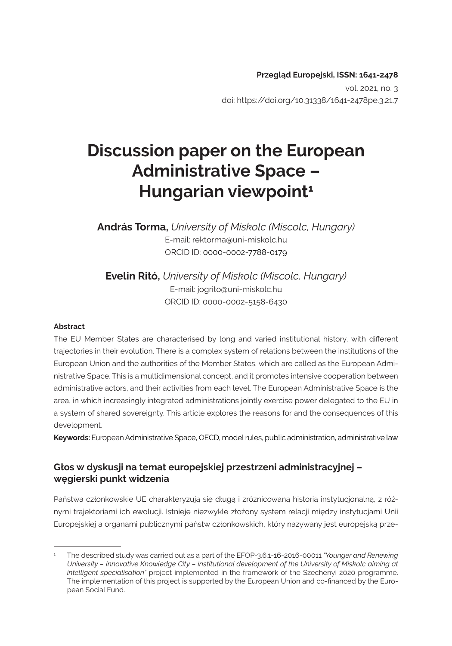**Przegląd Europejski, ISSN: 1641-2478**  vol. 2021, no. 3 doi: https://doi.org/10.31338/1641-2478pe.3.21.7

# **Discussion paper on the European Administrative Space – Hungarian viewpoint1**

**András Torma,** *University of Miskolc (Miscolc, Hungary)* E-mail: rektorma@uni-miskolc.hu ORCID ID: 0000-0002-7788-0179

**Evelin Ritó,** *University of Miskolc (Miscolc, Hungary)* E-mail: jogrito@uni-miskolc.hu ORCID ID: 0000-0002-5158-6430

#### **Abstract**

The EU Member States are characterised by long and varied institutional history, with different trajectories in their evolution. There is a complex system of relations between the institutions of the European Union and the authorities of the Member States, which are called as the European Administrative Space. This is a multidimensional concept, and it promotes intensive cooperation between administrative actors, and their activities from each level. The European Administrative Space is the area, in which increasingly integrated administrations jointly exercise power delegated to the EU in a system of shared sovereignty. This article explores the reasons for and the consequences of this development.

**Keywords:** European Administrative Space, OECD, model rules, public administration, administrative law

#### **Głos w dyskusji na temat europejskiej przestrzeni administracyjnej – węgierski punkt widzenia**

Państwa członkowskie UE charakteryzują się długą i zróżnicowaną historią instytucjonalną, z różnymi trajektoriami ich ewolucji. Istnieje niezwykle złożony system relacji między instytucjami Unii Europejskiej a organami publicznymi państw członkowskich, który nazywany jest europejską prze-

<sup>1</sup> The described study was carried out as a part of the EFOP-3.6.1-16-2016-00011 *"Younger and Renewing University – Innovative Knowledge City – institutional development of the University of Miskolc aiming at intelligent specialisation"* project implemented in the framework of the Szechenyi 2020 programme. The implementation of this project is supported by the European Union and co-financed by the European Social Fund.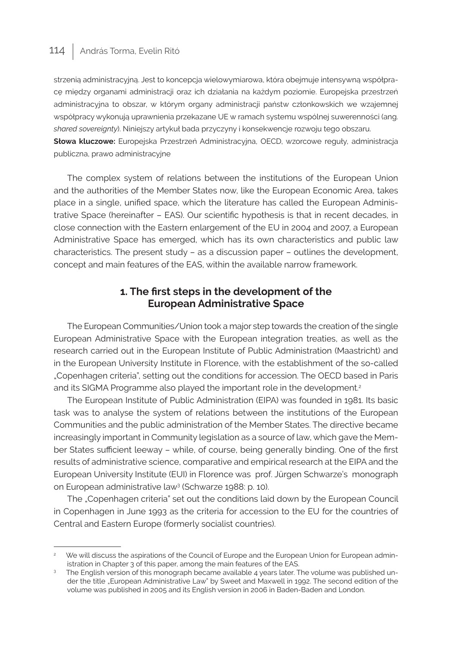### 114 András Torma, Evelin Ritó

strzenią administracyjną. Jest to koncepcja wielowymiarowa, która obejmuje intensywną współpracę między organami administracji oraz ich działania na każdym poziomie. Europejska przestrzeń administracyjna to obszar, w którym organy administracji państw członkowskich we wzajemnej współpracy wykonują uprawnienia przekazane UE w ramach systemu wspólnej suwerenności (ang. *shared sovereignty*). Niniejszy artykuł bada przyczyny i konsekwencje rozwoju tego obszaru.

**Słowa kluczowe:** Europejska Przestrzeń Administracyjna, OECD, wzorcowe reguły, administracja publiczna, prawo administracyjne

The complex system of relations between the institutions of the European Union and the authorities of the Member States now, like the European Economic Area, takes place in a single, unified space, which the literature has called the European Administrative Space (hereinafter – EAS). Our scientific hypothesis is that in recent decades, in close connection with the Eastern enlargement of the EU in 2004 and 2007, a European Administrative Space has emerged, which has its own characteristics and public law characteristics. The present study – as a discussion paper – outlines the development, concept and main features of the EAS, within the available narrow framework.

#### **1. The first steps in the development of the European Administrative Space**

The European Communities/Union took a major step towards the creation of the single European Administrative Space with the European integration treaties, as well as the research carried out in the European Institute of Public Administration (Maastricht) and in the European University Institute in Florence, with the establishment of the so-called "Copenhagen criteria", setting out the conditions for accession. The OECD based in Paris and its SIGMA Programme also played the important role in the development.<sup>2</sup>

The European Institute of Public Administration (EIPA) was founded in 1981. Its basic task was to analyse the system of relations between the institutions of the European Communities and the public administration of the Member States. The directive became increasingly important in Community legislation as a source of law, which gave the Member States sufficient leeway – while, of course, being generally binding. One of the first results of administrative science, comparative and empirical research at the EIPA and the European University Institute (EUI) in Florence was prof. Jürgen Schwarze's monograph on European administrative law<sup>3</sup> (Schwarze 1988: p. 10).

The "Copenhagen criteria" set out the conditions laid down by the European Council in Copenhagen in June 1993 as the criteria for accession to the EU for the countries of Central and Eastern Europe (formerly socialist countries).

We will discuss the aspirations of the Council of Europe and the European Union for European administration in Chapter 3 of this paper, among the main features of the EAS.

<sup>&</sup>lt;sup>3</sup> The English version of this monograph became available 4 years later. The volume was published under the title "European Administrative Law" by Sweet and Maxwell in 1992. The second edition of the volume was published in 2005 and its English version in 2006 in Baden-Baden and London.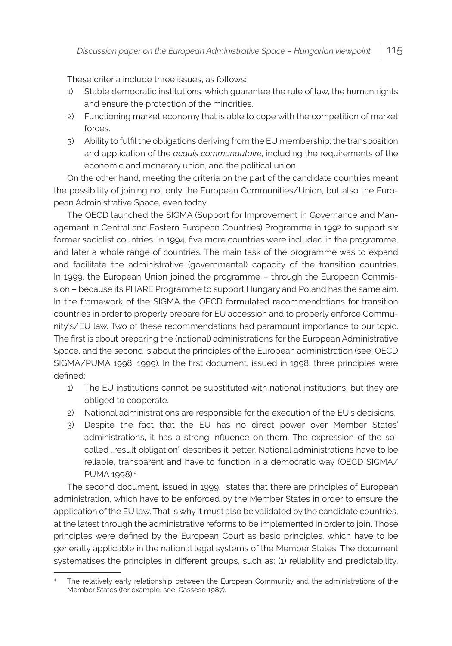These criteria include three issues, as follows:

- 1) Stable democratic institutions, which guarantee the rule of law, the human rights and ensure the protection of the minorities.
- 2) Functioning market economy that is able to cope with the competition of market forces.
- 3) Ability to fulfil the obligations deriving from the EU membership: the transposition and application of the *acquis communautaire*, including the requirements of the economic and monetary union, and the political union.

On the other hand, meeting the criteria on the part of the candidate countries meant the possibility of joining not only the European Communities/Union, but also the European Administrative Space, even today.

The OECD launched the SIGMA (Support for Improvement in Governance and Management in Central and Eastern European Countries) Programme in 1992 to support six former socialist countries. In 1994, five more countries were included in the programme, and later a whole range of countries. The main task of the programme was to expand and facilitate the administrative (governmental) capacity of the transition countries. In 1999, the European Union joined the programme – through the European Commission – because its PHARE Programme to support Hungary and Poland has the same aim. In the framework of the SIGMA the OECD formulated recommendations for transition countries in order to properly prepare for EU accession and to properly enforce Community's/EU law. Two of these recommendations had paramount importance to our topic. The first is about preparing the (national) administrations for the European Administrative Space, and the second is about the principles of the European administration (see: OECD SIGMA/PUMA 1998, 1999). In the first document, issued in 1998, three principles were defined:

- 1) The EU institutions cannot be substituted with national institutions, but they are obliged to cooperate.
- 2) National administrations are responsible for the execution of the EU's decisions.
- 3) Despite the fact that the EU has no direct power over Member States' administrations, it has a strong influence on them. The expression of the socalled "result obligation" describes it better. National administrations have to be reliable, transparent and have to function in a democratic way (OECD SIGMA/ PUMA 1998).<sup>4</sup>

The second document, issued in 1999, states that there are principles of European administration, which have to be enforced by the Member States in order to ensure the application of the EU law. That is why it must also be validated by the candidate countries, at the latest through the administrative reforms to be implemented in order to join. Those principles were defined by the European Court as basic principles, which have to be generally applicable in the national legal systems of the Member States. The document systematises the principles in different groups, such as: (1) reliability and predictability,

The relatively early relationship between the European Community and the administrations of the Member States (for example, see: Cassese 1987).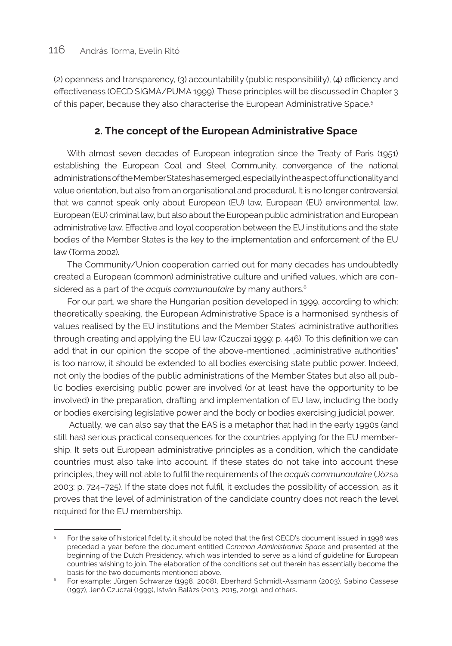(2) openness and transparency, (3) accountability (public responsibility), (4) efficiency and effectiveness (OECD SIGMA/PUMA 1999). These principles will be discussed in Chapter 3 of this paper, because they also characterise the European Administrative Space.<sup>5</sup>

#### **2. The concept of the European Administrative Space**

With almost seven decades of European integration since the Treaty of Paris (1951) establishing the European Coal and Steel Community, convergence of the national administrations of the Member States has emerged, especially in the aspect of functionality and value orientation, but also from an organisational and procedural. It is no longer controversial that we cannot speak only about European (EU) law, European (EU) environmental law, European (EU) criminal law, but also about the European public administration and European administrative law. Effective and loyal cooperation between the EU institutions and the state bodies of the Member States is the key to the implementation and enforcement of the EU law (Torma 2002).

The Community/Union cooperation carried out for many decades has undoubtedly created a European (common) administrative culture and unified values, which are considered as a part of the *acquis communautaire* by many authors.<sup>6</sup>

For our part, we share the Hungarian position developed in 1999, according to which: theoretically speaking, the European Administrative Space is a harmonised synthesis of values realised by the EU institutions and the Member States' administrative authorities through creating and applying the EU law (Czuczai 1999: p. 446). To this definition we can add that in our opinion the scope of the above-mentioned "administrative authorities" is too narrow, it should be extended to all bodies exercising state public power. Indeed, not only the bodies of the public administrations of the Member States but also all public bodies exercising public power are involved (or at least have the opportunity to be involved) in the preparation, drafting and implementation of EU law, including the body or bodies exercising legislative power and the body or bodies exercising judicial power.

 Actually, we can also say that the EAS is a metaphor that had in the early 1990s (and still has) serious practical consequences for the countries applying for the EU membership. It sets out European administrative principles as a condition, which the candidate countries must also take into account. If these states do not take into account these principles, they will not able to fulfil the requirements of the *acquis communautaire* (Józsa 2003: p. 724–725). If the state does not fulfil, it excludes the possibility of accession, as it proves that the level of administration of the candidate country does not reach the level required for the EU membership.

<sup>&</sup>lt;sup>5</sup> For the sake of historical fidelity, it should be noted that the first OECD's document issued in 1998 was preceded a year before the document entitled *Common Administrative Space* and presented at the beginning of the Dutch Presidency, which was intended to serve as a kind of guideline for European countries wishing to join. The elaboration of the conditions set out therein has essentially become the basis for the two documents mentioned above.

<sup>6</sup> For example: Jürgen Schwarze (1998, 2008), Eberhard Schmidt-Assmann (2003), Sabino Cassese (1997), Jenő Czuczai (1999), István Balázs (2013, 2015, 2019), and others.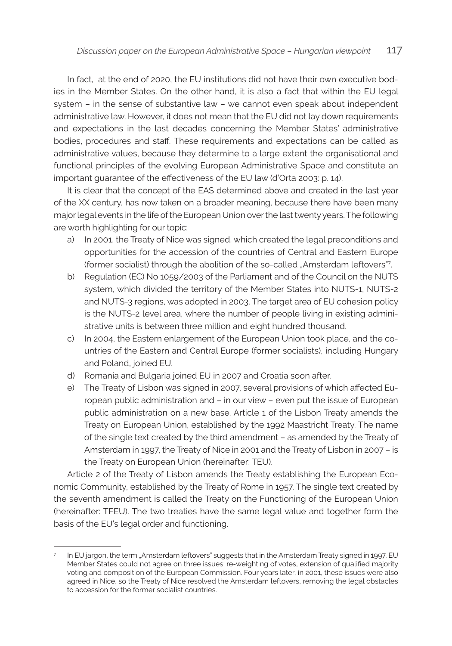In fact, at the end of 2020, the EU institutions did not have their own executive bodies in the Member States. On the other hand, it is also a fact that within the EU legal system – in the sense of substantive law – we cannot even speak about independent administrative law. However, it does not mean that the EU did not lay down requirements and expectations in the last decades concerning the Member States' administrative bodies, procedures and staff. These requirements and expectations can be called as administrative values, because they determine to a large extent the organisational and functional principles of the evolving European Administrative Space and constitute an important guarantee of the effectiveness of the EU law (d'Orta 2003: p. 14).

It is clear that the concept of the EAS determined above and created in the last year of the XX century, has now taken on a broader meaning, because there have been many major legal events in the life of the European Union over the last twenty years. The following are worth highlighting for our topic:

- a) In 2001, the Treaty of Nice was signed, which created the legal preconditions and opportunities for the accession of the countries of Central and Eastern Europe (former socialist) through the abolition of the so-called "Amsterdam leftovers"<sup>7</sup>.
- b) Regulation (EC) No 1059/2003 of the Parliament and of the Council on the NUTS system, which divided the territory of the Member States into NUTS-1, NUTS-2 and NUTS-3 regions, was adopted in 2003. The target area of EU cohesion policy is the NUTS-2 level area, where the number of people living in existing administrative units is between three million and eight hundred thousand.
- c) In 2004, the Eastern enlargement of the European Union took place, and the countries of the Eastern and Central Europe (former socialists), including Hungary and Poland, joined EU.
- d) Romania and Bulgaria joined EU in 2007 and Croatia soon after.
- e) The Treaty of Lisbon was signed in 2007, several provisions of which affected European public administration and – in our view – even put the issue of European public administration on a new base. Article 1 of the Lisbon Treaty amends the Treaty on European Union, established by the 1992 Maastricht Treaty. The name of the single text created by the third amendment – as amended by the Treaty of Amsterdam in 1997, the Treaty of Nice in 2001 and the Treaty of Lisbon in 2007 – is the Treaty on European Union (hereinafter: TEU).

Article 2 of the Treaty of Lisbon amends the Treaty establishing the European Economic Community, established by the Treaty of Rome in 1957. The single text created by the seventh amendment is called the Treaty on the Functioning of the European Union (hereinafter: TFEU). The two treaties have the same legal value and together form the basis of the EU's legal order and functioning.

<sup>7</sup> In EU jargon, the term "Amsterdam leftovers" suggests that in the Amsterdam Treaty signed in 1997, EU Member States could not agree on three issues: re-weighting of votes, extension of qualified majority voting and composition of the European Commission. Four years later, in 2001, these issues were also agreed in Nice, so the Treaty of Nice resolved the Amsterdam leftovers, removing the legal obstacles to accession for the former socialist countries.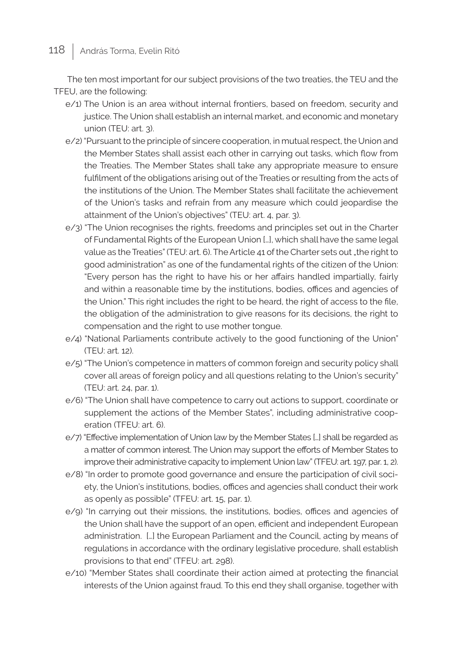## 118 | András Torma, Evelin Ritó

The ten most important for our subject provisions of the two treaties, the TEU and the TFEU, are the following:

- e/1) The Union is an area without internal frontiers, based on freedom, security and justice. The Union shall establish an internal market, and economic and monetary union (TEU: art. 3).
- e/2) "Pursuant to the principle of sincere cooperation, in mutual respect, the Union and the Member States shall assist each other in carrying out tasks, which flow from the Treaties. The Member States shall take any appropriate measure to ensure fulfilment of the obligations arising out of the Treaties or resulting from the acts of the institutions of the Union. The Member States shall facilitate the achievement of the Union's tasks and refrain from any measure which could jeopardise the attainment of the Union's objectives" (TEU: art. 4, par. 3).
- e/3) "The Union recognises the rights, freedoms and principles set out in the Charter of Fundamental Rights of the European Union […], which shall have the same legal value as the Treaties" (TEU: art. 6). The Article 41 of the Charter sets out "the right to good administration" as one of the fundamental rights of the citizen of the Union: "Every person has the right to have his or her affairs handled impartially, fairly and within a reasonable time by the institutions, bodies, offices and agencies of the Union." This right includes the right to be heard, the right of access to the file, the obligation of the administration to give reasons for its decisions, the right to compensation and the right to use mother tongue.
- e/4) "National Parliaments contribute actively to the good functioning of the Union" (TEU: art. 12).
- e/5) "The Union's competence in matters of common foreign and security policy shall cover all areas of foreign policy and all questions relating to the Union's security" (TEU: art. 24, par. 1).
- e/6) "The Union shall have competence to carry out actions to support, coordinate or supplement the actions of the Member States", including administrative cooperation (TFEU: art. 6).
- e/7) "Effective implementation of Union law by the Member States […] shall be regarded as a matter of common interest. The Union may support the efforts of Member States to improve their administrative capacity to implement Union law" (TFEU: art. 197, par. 1, 2).
- e/8) "In order to promote good governance and ensure the participation of civil society, the Union's institutions, bodies, offices and agencies shall conduct their work as openly as possible" (TFEU: art. 15, par. 1).
- e/9) "In carrying out their missions, the institutions, bodies, offices and agencies of the Union shall have the support of an open, efficient and independent European administration. […] the European Parliament and the Council, acting by means of regulations in accordance with the ordinary legislative procedure, shall establish provisions to that end" (TFEU: art. 298).
- e/10) "Member States shall coordinate their action aimed at protecting the financial interests of the Union against fraud. To this end they shall organise, together with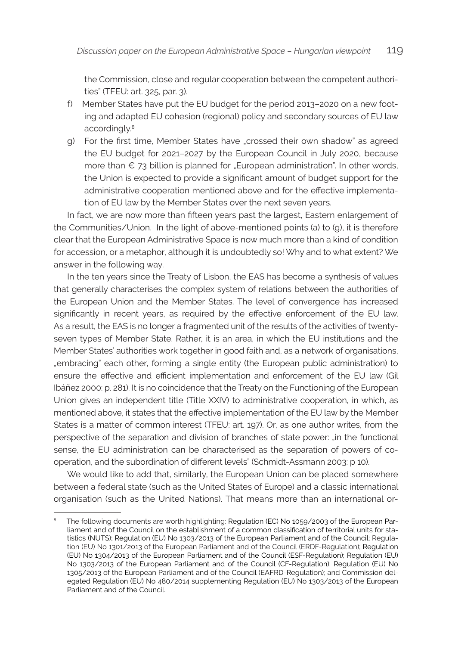the Commission, close and regular cooperation between the competent authorities" (TFEU: art. 325, par. 3).

- f) Member States have put the EU budget for the period 2013–2020 on a new footing and adapted EU cohesion (regional) policy and secondary sources of EU law accordingly.8
- g) For the first time, Member States have "crossed their own shadow" as agreed the EU budget for 2021–2027 by the European Council in July 2020, because more than  $€$  73 billion is planned for "European administration". In other words, the Union is expected to provide a significant amount of budget support for the administrative cooperation mentioned above and for the effective implementation of EU law by the Member States over the next seven years.

In fact, we are now more than fifteen years past the largest, Eastern enlargement of the Communities/Union. In the light of above-mentioned points (a) to (g), it is therefore clear that the European Administrative Space is now much more than a kind of condition for accession, or a metaphor, although it is undoubtedly so! Why and to what extent? We answer in the following way.

In the ten years since the Treaty of Lisbon, the EAS has become a synthesis of values that generally characterises the complex system of relations between the authorities of the European Union and the Member States. The level of convergence has increased significantly in recent years, as required by the effective enforcement of the EU law. As a result, the EAS is no longer a fragmented unit of the results of the activities of twentyseven types of Member State. Rather, it is an area, in which the EU institutions and the Member States' authorities work together in good faith and, as a network of organisations, "embracing" each other, forming a single entity (the European public administration) to ensure the effective and efficient implementation and enforcement of the EU law (Gil Ibáñez 2000: p. 281). It is no coincidence that the Treaty on the Functioning of the European Union gives an independent title (Title XXIV) to administrative cooperation, in which, as mentioned above, it states that the effective implementation of the EU law by the Member States is a matter of common interest (TFEU: art. 197). Or, as one author writes, from the perspective of the separation and division of branches of state power: "in the functional sense, the EU administration can be characterised as the separation of powers of cooperation, and the subordination of different levels" (Schmidt-Assmann 2003: p 10).

We would like to add that, similarly, the European Union can be placed somewhere between a federal state (such as the United States of Europe) and a classic international organisation (such as the United Nations). That means more than an international or-

<sup>8</sup> The following documents are worth highlighting: Regulation (EC) No 1059/2003 of the European Parliament and of the Council on the establishment of a common classification of territorial units for statistics (NUTS); Regulation (EU) No 1303/2013 of the European Parliament and of the Council; Regulation (EU) No 1301/2013 of the European Parliament and of the Council (ERDF-Regulation); Regulation (EU) No 1304/2013 of the European Parliament and of the Council (ESF-Regulation); Regulation (EU) No 1303/2013 of the European Parliament and of the Council (CF-Regulation); Regulation (EU) No 1305/2013 of the European Parliament and of the Council (EAFRD-Regulation); and Commission delegated Regulation (EU) No 480/2014 supplementing Regulation (EU) No 1303/2013 of the European Parliament and of the Council.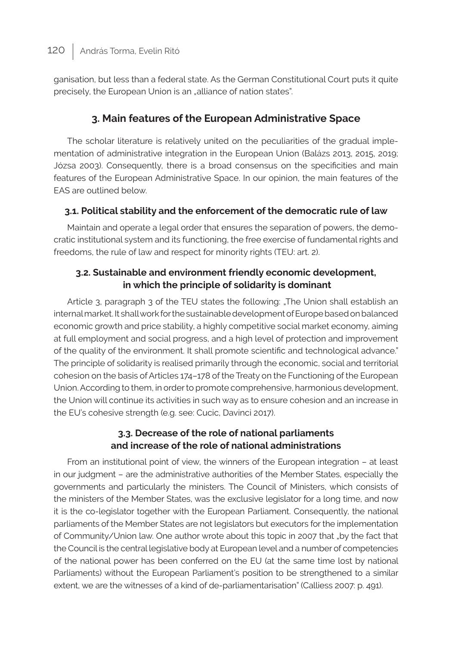ganisation, but less than a federal state. As the German Constitutional Court puts it quite precisely, the European Union is an "alliance of nation states".

### **3. Main features of the European Administrative Space**

The scholar literature is relatively united on the peculiarities of the gradual implementation of administrative integration in the European Union (Balázs 2013, 2015, 2019; Józsa 2003). Consequently, there is a broad consensus on the specificities and main features of the European Administrative Space. In our opinion, the main features of the EAS are outlined below

#### **3.1. Political stability and the enforcement of the democratic rule of law**

Maintain and operate a legal order that ensures the separation of powers, the democratic institutional system and its functioning, the free exercise of fundamental rights and freedoms, the rule of law and respect for minority rights (TEU: art. 2).

#### **3.2. Sustainable and environment friendly economic development, in which the principle of solidarity is dominant**

Article 3, paragraph 3 of the TEU states the following: "The Union shall establish an internal market. It shall work for the sustainable development of Europe based on balanced economic growth and price stability, a highly competitive social market economy, aiming at full employment and social progress, and a high level of protection and improvement of the quality of the environment. It shall promote scientific and technological advance." The principle of solidarity is realised primarily through the economic, social and territorial cohesion on the basis of Articles 174–178 of the Treaty on the Functioning of the European Union. According to them, in order to promote comprehensive, harmonious development, the Union will continue its activities in such way as to ensure cohesion and an increase in the EU's cohesive strength (e.g. see: Cucic, Davinci 2017).

#### **3.3. Decrease of the role of national parliaments and increase of the role of national administrations**

From an institutional point of view, the winners of the European integration – at least in our judgment – are the administrative authorities of the Member States, especially the governments and particularly the ministers. The Council of Ministers, which consists of the ministers of the Member States, was the exclusive legislator for a long time, and now it is the co-legislator together with the European Parliament. Consequently, the national parliaments of the Member States are not legislators but executors for the implementation of Community/Union law. One author wrote about this topic in 2007 that "by the fact that the Council is the central legislative body at European level and a number of competencies of the national power has been conferred on the EU (at the same time lost by national Parliaments) without the European Parliament's position to be strengthened to a similar extent, we are the witnesses of a kind of de-parliamentarisation" (Calliess 2007: p. 491).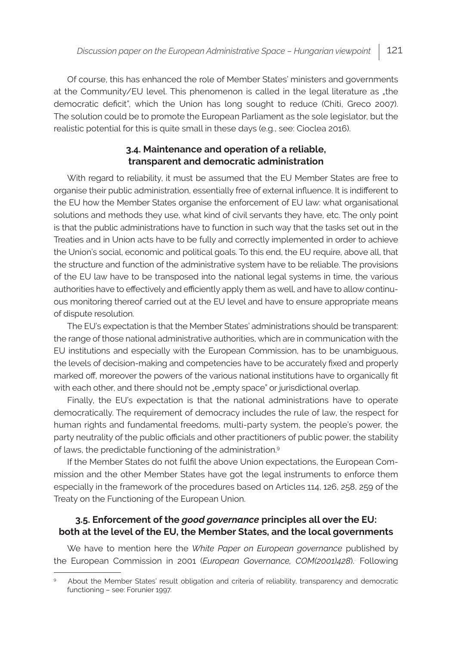Of course, this has enhanced the role of Member States' ministers and governments at the Community/EU level. This phenomenon is called in the legal literature as "the democratic deficit", which the Union has long sought to reduce (Chiti, Greco 2007). The solution could be to promote the European Parliament as the sole legislator, but the realistic potential for this is quite small in these days (e.g., see: Cioclea 2016).

#### **3.4. Maintenance and operation of a reliable, transparent and democratic administration**

With regard to reliability, it must be assumed that the EU Member States are free to organise their public administration, essentially free of external influence. It is indifferent to the EU how the Member States organise the enforcement of EU law: what organisational solutions and methods they use, what kind of civil servants they have, etc. The only point is that the public administrations have to function in such way that the tasks set out in the Treaties and in Union acts have to be fully and correctly implemented in order to achieve the Union's social, economic and political goals. To this end, the EU require, above all, that the structure and function of the administrative system have to be reliable. The provisions of the EU law have to be transposed into the national legal systems in time, the various authorities have to effectively and efficiently apply them as well, and have to allow continuous monitoring thereof carried out at the EU level and have to ensure appropriate means of dispute resolution.

The EU's expectation is that the Member States' administrations should be transparent: the range of those national administrative authorities, which are in communication with the EU institutions and especially with the European Commission, has to be unambiguous, the levels of decision-making and competencies have to be accurately fixed and properly marked off, moreover the powers of the various national institutions have to organically fit with each other, and there should not be "empty space" or jurisdictional overlap.

Finally, the EU's expectation is that the national administrations have to operate democratically. The requirement of democracy includes the rule of law, the respect for human rights and fundamental freedoms, multi-party system, the people's power, the party neutrality of the public officials and other practitioners of public power, the stability of laws, the predictable functioning of the administration.<sup>9</sup>

If the Member States do not fulfil the above Union expectations, the European Commission and the other Member States have got the legal instruments to enforce them especially in the framework of the procedures based on Articles 114, 126, 258, 259 of the Treaty on the Functioning of the European Union.

#### **3.5. Enforcement of the** *good governance* **principles all over the EU: both at the level of the EU, the Member States, and the local governments**

We have to mention here the *White Paper on European governance* published by the European Commission in 2001 (*European Governance, COM(2001)428*). Following

About the Member States' result obligation and criteria of reliability, transparency and democratic functioning – see: Forunier 1997.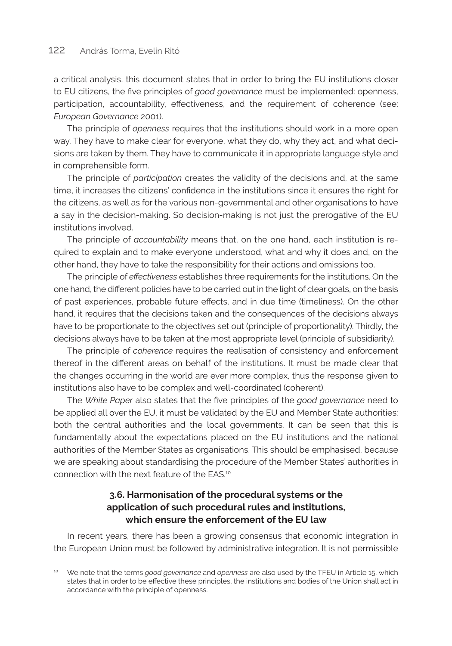# 122 | András Torma, Evelin Ritó

a critical analysis, this document states that in order to bring the EU institutions closer to EU citizens, the five principles of *good governance* must be implemented: openness, participation, accountability, effectiveness, and the requirement of coherence (see: *European Governance* 2001).

The principle of *openness* requires that the institutions should work in a more open way. They have to make clear for everyone, what they do, why they act, and what decisions are taken by them. They have to communicate it in appropriate language style and in comprehensible form.

The principle of *participation* creates the validity of the decisions and, at the same time, it increases the citizens' confidence in the institutions since it ensures the right for the citizens, as well as for the various non-governmental and other organisations to have a say in the decision-making. So decision-making is not just the prerogative of the EU institutions involved.

The principle of *accountability* means that, on the one hand, each institution is required to explain and to make everyone understood, what and why it does and, on the other hand, they have to take the responsibility for their actions and omissions too.

The principle of *effectiveness* establishes three requirements for the institutions. On the one hand, the different policies have to be carried out in the light of clear goals, on the basis of past experiences, probable future effects, and in due time (timeliness). On the other hand, it requires that the decisions taken and the consequences of the decisions always have to be proportionate to the objectives set out (principle of proportionality). Thirdly, the decisions always have to be taken at the most appropriate level (principle of subsidiarity).

The principle of *coherence* requires the realisation of consistency and enforcement thereof in the different areas on behalf of the institutions. It must be made clear that the changes occurring in the world are ever more complex, thus the response given to institutions also have to be complex and well-coordinated (coherent).

The *White Paper* also states that the five principles of the *good governance* need to be applied all over the EU, it must be validated by the EU and Member State authorities: both the central authorities and the local governments. It can be seen that this is fundamentally about the expectations placed on the EU institutions and the national authorities of the Member States as organisations. This should be emphasised, because we are speaking about standardising the procedure of the Member States' authorities in connection with the next feature of the EAS.<sup>10</sup>

#### **3.6. Harmonisation of the procedural systems or the application of such procedural rules and institutions, which ensure the enforcement of the EU law**

In recent years, there has been a growing consensus that economic integration in the European Union must be followed by administrative integration. It is not permissible

<sup>10</sup> We note that the terms *good governance* and *openness* are also used by the TFEU in Article 15, which states that in order to be effective these principles, the institutions and bodies of the Union shall act in accordance with the principle of openness.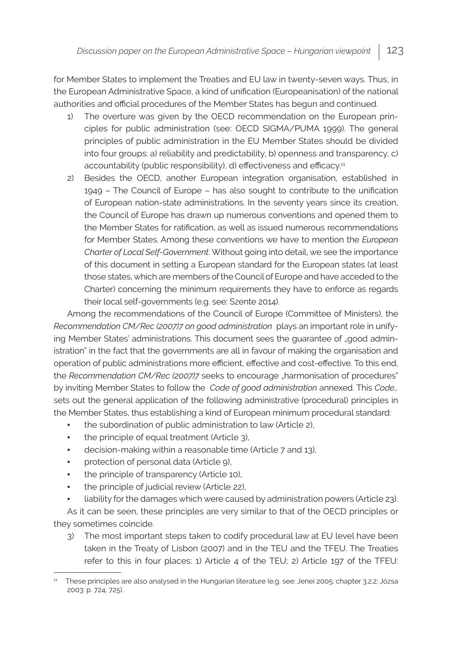for Member States to implement the Treaties and EU law in twenty-seven ways. Thus, in the European Administrative Space, a kind of unification (Europeanisation) of the national authorities and official procedures of the Member States has begun and continued.

- 1) The overture was given by the OECD recommendation on the European principles for public administration (see: OECD SIGMA/PUMA 1999). The general principles of public administration in the EU Member States should be divided into four groups: a) reliability and predictability, b) openness and transparency, c) accountability (public responsibility), d) effectiveness and efficacy.<sup>11</sup>
- 2) Besides the OECD, another European integration organisation, established in 1949 – The Council of Europe – has also sought to contribute to the unification of European nation-state administrations. In the seventy years since its creation, the Council of Europe has drawn up numerous conventions and opened them to the Member States for ratification, as well as issued numerous recommendations for Member States. Among these conventions we have to mention the *European Charter of Local Self-Government*. Without going into detail, we see the importance of this document in setting a European standard for the European states (at least those states, which are members of the Council of Europe and have acceded to the Charter) concerning the minimum requirements they have to enforce as regards their local self-governments (e.g. see: Szente 2014).

Among the recommendations of the Council of Europe (Committee of Ministers), the *Recommendation CM/Rec (2007)7 on good administration* plays an important role in unifying Member States' administrations. This document sees the quarantee of "good administration" in the fact that the governments are all in favour of making the organisation and operation of public administrations more efficient, effective and cost-effective. To this end, the *Recommendation CM/Rec (2007)7* seeks to encourage "harmonisation of procedures" by inviting Member States to follow the *Code of good administration* annexed. This *Code…* sets out the general application of the following administrative (procedural) principles in the Member States, thus establishing a kind of European minimum procedural standard:

- the subordination of public administration to law (Article 2),
- the principle of equal treatment (Article 3),
- decision-making within a reasonable time (Article 7 and 13),
- **•** protection of personal data (Article 9),
- the principle of transparency (Article 10),
- the principle of judicial review (Article 22),
- liability for the damages which were caused by administration powers (Article 23).

As it can be seen, these principles are very similar to that of the OECD principles or they sometimes coincide.

3) The most important steps taken to codify procedural law at EU level have been taken in the Treaty of Lisbon (2007) and in the TEU and the TFEU. The Treaties refer to this in four places: 1) Article 4 of the TEU; 2) Article 197 of the TFEU:

<sup>&</sup>lt;sup>11</sup> These principles are also analysed in the Hungarian literature (e.g. see: Jenei 2005: chapter 3.2.2; Józsa 2003: p. 724, 725).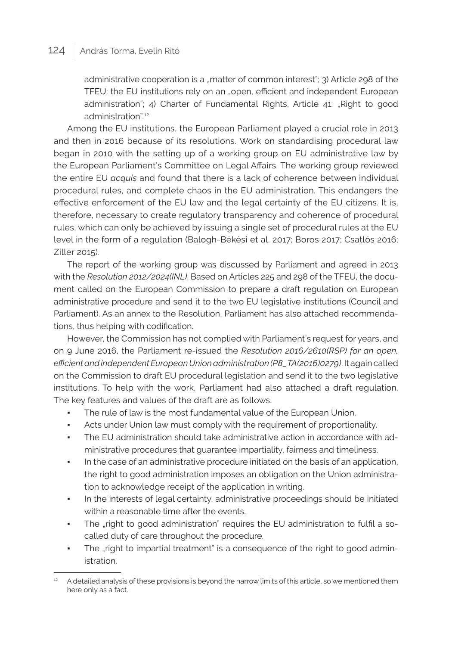## 124 András Torma, Evelin Ritó

administrative cooperation is a "matter of common interest"; 3) Article 298 of the TFEU: the EU institutions rely on an "open, efficient and independent European administration"; 4) Charter of Fundamental Rights, Article 41: "Right to good administration"*.* 12

Among the EU institutions, the European Parliament played a crucial role in 2013 and then in 2016 because of its resolutions. Work on standardising procedural law began in 2010 with the setting up of a working group on EU administrative law by the European Parliament's Committee on Legal Affairs. The working group reviewed the entire EU *acquis* and found that there is a lack of coherence between individual procedural rules, and complete chaos in the EU administration. This endangers the effective enforcement of the EU law and the legal certainty of the EU citizens. It is, therefore, necessary to create regulatory transparency and coherence of procedural rules, which can only be achieved by issuing a single set of procedural rules at the EU level in the form of a regulation (Balogh-Békési et al. 2017; Boros 2017; Csatlós 2016; Ziller 2015).

The report of the working group was discussed by Parliament and agreed in 2013 with the *Resolution 2012/2024(INL)*. Based on Articles 225 and 298 of the TFEU, the document called on the European Commission to prepare a draft regulation on European administrative procedure and send it to the two EU legislative institutions (Council and Parliament). As an annex to the Resolution, Parliament has also attached recommendations, thus helping with codification.

However, the Commission has not complied with Parliament's request for years, and on 9 June 2016, the Parliament re-issued the *Resolution 2016/2610(RSP) for an open, efficient and independent European Union administration (P8\_TA(2016)0279)*. It again called on the Commission to draft EU procedural legislation and send it to the two legislative institutions. To help with the work, Parliament had also attached a draft regulation. The key features and values of the draft are as follows:

- The rule of law is the most fundamental value of the European Union.
- Acts under Union law must comply with the requirement of proportionality.
- The EU administration should take administrative action in accordance with administrative procedures that guarantee impartiality, fairness and timeliness.
- In the case of an administrative procedure initiated on the basis of an application, the right to good administration imposes an obligation on the Union administration to acknowledge receipt of the application in writing.
- In the interests of legal certainty, administrative proceedings should be initiated within a reasonable time after the events.
- The "right to good administration" requires the EU administration to fulfil a socalled duty of care throughout the procedure.
- The "right to impartial treatment" is a consequence of the right to good administration.

A detailed analysis of these provisions is beyond the narrow limits of this article, so we mentioned them here only as a fact.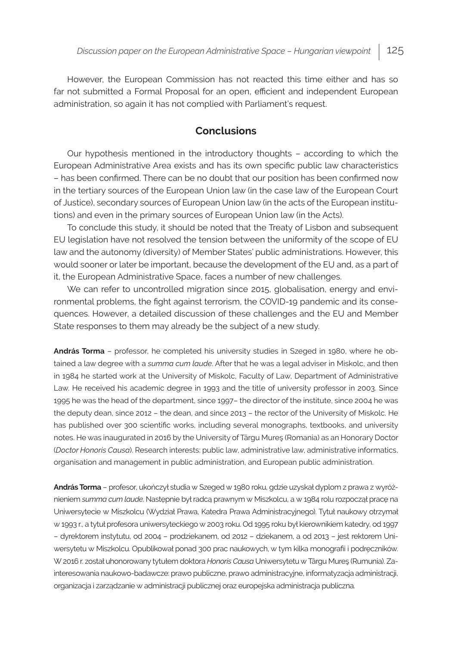However, the European Commission has not reacted this time either and has so far not submitted a Formal Proposal for an open, efficient and independent European administration, so again it has not complied with Parliament's request.

#### **Conclusions**

Our hypothesis mentioned in the introductory thoughts – according to which the European Administrative Area exists and has its own specific public law characteristics – has been confirmed. There can be no doubt that our position has been confirmed now in the tertiary sources of the European Union law (in the case law of the European Court of Justice), secondary sources of European Union law (in the acts of the European institutions) and even in the primary sources of European Union law (in the Acts).

To conclude this study, it should be noted that the Treaty of Lisbon and subsequent EU legislation have not resolved the tension between the uniformity of the scope of EU law and the autonomy (diversity) of Member States' public administrations. However, this would sooner or later be important, because the development of the EU and, as a part of it, the European Administrative Space, faces a number of new challenges.

We can refer to uncontrolled migration since 2015, globalisation, energy and environmental problems, the fight against terrorism, the COVID-19 pandemic and its consequences. However, a detailed discussion of these challenges and the EU and Member State responses to them may already be the subject of a new study.

**András Torma** – professor, he completed his university studies in Szeged in 1980, where he obtained a law degree with a *summa cum laude*. After that he was a legal adviser in Miskolc, and then in 1984 he started work at the University of Miskolc, Faculty of Law, Department of Administrative Law. He received his academic degree in 1993 and the title of university professor in 2003. Since 1995 he was the head of the department, since 1997– the director of the institute, since 2004 he was the deputy dean, since 2012 – the dean, and since 2013 – the rector of the University of Miskolc. He has published over 300 scientific works, including several monographs, textbooks, and university notes. He was inaugurated in 2016 by the University of Târgu Mureş (Romania) as an Honorary Doctor (*Doctor Honoris Causa*). Research interests: public law, administrative law, administrative informatics, organisation and management in public administration, and European public administration.

**András Torma** – profesor, ukończył studia w Szeged w 1980 roku, gdzie uzyskał dyplom z prawa z wyróżnieniem *summa cum laude*. Następnie był radcą prawnym w Miszkolcu, a w 1984 rolu rozpoczął pracę na Uniwersytecie w Miszkolcu (Wydział Prawa, Katedra Prawa Administracyjnego). Tytuł naukowy otrzymał w 1993 r., a tytuł profesora uniwersyteckiego w 2003 roku. Od 1995 roku był kierownikiem katedry, od 1997 – dyrektorem instytutu, od 2004 – prodziekanem, od 2012 – dziekanem, a od 2013 – jest rektorem Uniwersytetu w Miszkolcu. Opublikował ponad 300 prac naukowych, w tym kilka monografii i podręczników. W 2016 r. został uhonorowany tytułem doktora *Honoris Causa* Uniwersytetu w Târgu Mureş (Rumunia). Zainteresowania naukowo-badawcze: prawo publiczne, prawo administracyjne, informatyzacja administracji, organizacja i zarządzanie w administracji publicznej oraz europejska administracja publiczna.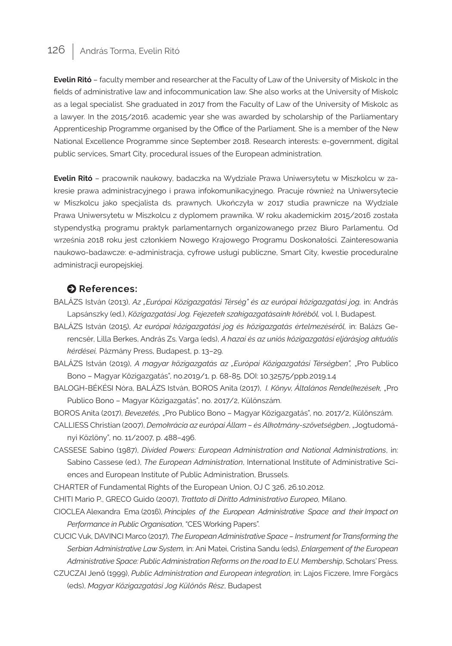# 126 | András Torma, Evelin Ritó

**Evelin Ritó** – faculty member and researcher at the Faculty of Law of the University of Miskolc in the fields of administrative law and infocommunication law. She also works at the University of Miskolc as a legal specialist. She graduated in 2017 from the Faculty of Law of the University of Miskolc as a lawyer. In the 2015/2016. academic year she was awarded by scholarship of the Parliamentary Apprenticeship Programme organised by the Office of the Parliament. She is a member of the New National Excellence Programme since September 2018. Research interests: e-government, digital public services, Smart City, procedural issues of the European administration.

**Evelin Ritó** – pracownik naukowy, badaczka na Wydziale Prawa Uniwersytetu w Miszkolcu w zakresie prawa administracyjnego i prawa infokomunikacyjnego. Pracuje również na Uniwersytecie w Miszkolcu jako specjalista ds. prawnych. Ukończyła w 2017 studia prawnicze na Wydziale Prawa Uniwersytetu w Miszkolcu z dyplomem prawnika. W roku akademickim 2015/2016 została stypendystką programu praktyk parlamentarnych organizowanego przez Biuro Parlamentu. Od września 2018 roku jest członkiem Nowego Krajowego Programu Doskonałości. Zainteresowania naukowo-badawcze: e-administracja, cyfrowe usługi publiczne, Smart City, kwestie proceduralne administracji europejskiej.

#### $\bullet$  References:

- BALÁZS István (2013), *Az "Európai Közigazgatási Térség" és az európai közigazgatási jog,* in: András Lapsánszky (ed.), *Közigazgatási Jog. Fejezetek szakigazgatásaink köréből,* vol. I, Budapest.
- BALÁZS István (2015), *Az európai közigazgatási jog és közigazgatás értelmezéséről,* in: Balázs Gerencsér, Lilla Berkes, András Zs. Varga (eds), *A hazai és az uniós közigazgatási eljárásjog aktuális kérdései,* Pázmány Press, Budapest, p. 13–29.
- BALÁZS István (2019), *A magyar közigazgatás az "Európai Közigazgatási Térségben",* "Pro Publico Bono – Magyar Közigazgatás", no.2019/1, p. 68-85. DOI: 10.32575/ppb.2019.1.4
- BALOGH-BÉKÉSI Nóra, BALÁZS István, BOROS Anita (2017), *I. Könyv, Általános Rendelkezések*, "Pro Publico Bono – Magyar Közigazgatás", no. 2017/2, Különszám.

BOROS Anita (2017), *Bevezetés,* "Pro Publico Bono – Magyar Közigazgatás", no. 2017/2, Különszám.

- CALLIESS Christian (2007), *Demokrácia az európai Állam és Alkotmány-szövetségben*, "Jogtudományi Közlöny", no. 11/2007, p. 488–496.
- CASSESE Sabino (1987), *Divided Powers: European Administration and National Administrations*, in: Sabino Cassese (ed.), *The European Administration*, International Institute of Administrative Sciences and European Institute of Public Administration, Brussels.
- CHARTER of Fundamental Rights of the European Union, OJ C 326, 26.10.2012.
- CHITI Mario P., GRECO Guido (2007), *Trattato di Diritto Administrativo Europeo,* Milano.
- CIOCLEA Alexandra Ema (2016), *Principles of the European Administrative Space and their Impact on Performance in Public Organisation*, "CES Working Papers".
- CUCIC Vuk, DAVINCI Marco (2017), *The European Administrative Space Instrument for Transforming the Serbian Administrative Law System,* in: Ani Matei, Cristina Sandu (eds), *Enlargement of the European Administrative Space: Public Administration Reforms on the road to E.U. Membership*, Scholars' Press.
- CZUCZAI Jenő (1999), *Public Administration and European integration,* in: Lajos Ficzere, Imre Forgács (eds), *Magyar Közigazgatási Jog Különös Rész*, Budapest